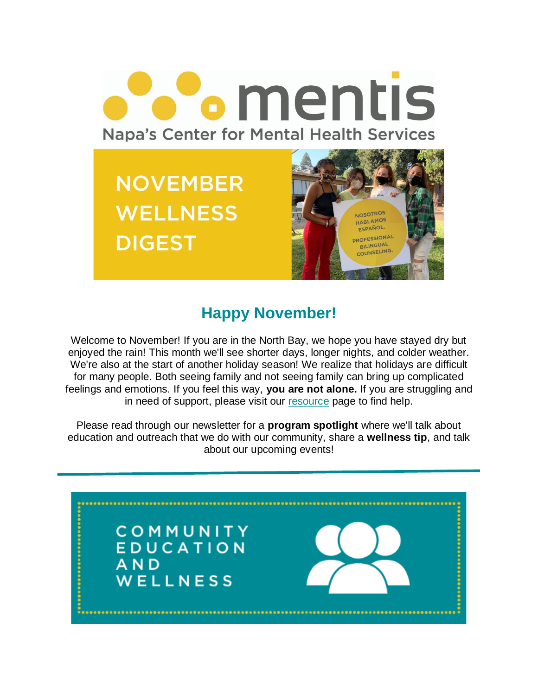

## **Happy November!**

Welcome to November! If you are in the North Bay, we hope you have stayed dry but enjoyed the rain! This month we'll see shorter days, longer nights, and colder weather. We're also at the start of another holiday season! We realize that holidays are difficult for many people. Both seeing family and not seeing family can bring up complicated feelings and emotions. If you feel this way, **you are not alone.** If you are struggling and in need of support, please visit our [resource](https://mentisnapa.org/resources/) page to find help.

Please read through our newsletter for a **program spotlight** where we'll talk about education and outreach that we do with our community, share a **wellness tip**, and talk about our upcoming events!

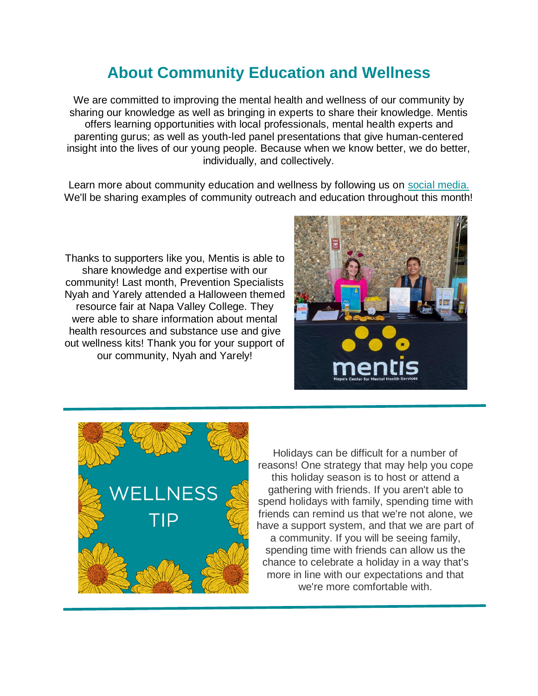## **About Community Education and Wellness**

We are committed to improving the mental health and wellness of our community by sharing our knowledge as well as bringing in experts to share their knowledge. Mentis offers learning opportunities with local professionals, mental health experts and parenting gurus; as well as youth-led panel presentations that give human-centered insight into the lives of our young people. Because when we know better, we do better, individually, and collectively.

Learn more about community education and wellness by following us on [social media.](https://www.instagram.com/mentisnapa/) We'll be sharing examples of community outreach and education throughout this month!

Thanks to supporters like you, Mentis is able to share knowledge and expertise with our community! Last month, Prevention Specialists Nyah and Yarely attended a Halloween themed resource fair at Napa Valley College. They were able to share information about mental health resources and substance use and give out wellness kits! Thank you for your support of our community, Nyah and Yarely!





Holidays can be difficult for a number of reasons! One strategy that may help you cope this holiday season is to host or attend a gathering with friends. If you aren't able to spend holidays with family, spending time with friends can remind us that we're not alone, we have a support system, and that we are part of a community. If you will be seeing family, spending time with friends can allow us the chance to celebrate a holiday in a way that's more in line with our expectations and that we're more comfortable with.